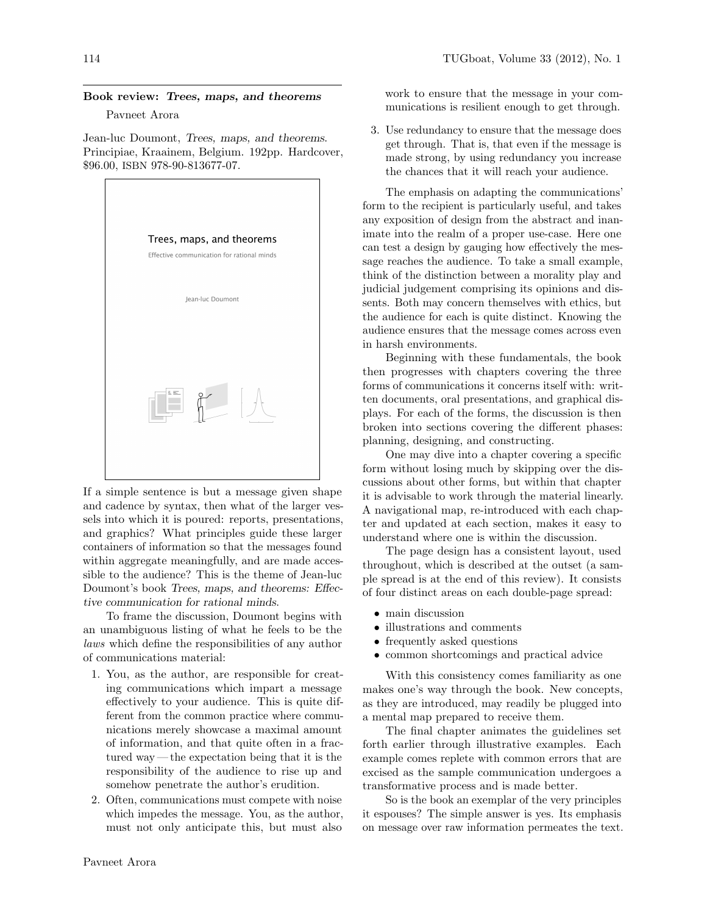## Book review: Trees, maps, and theorems

Pavneet Arora

Jean-luc Doumont, [Trees, maps, and theorems](http://www.treesmapsandtheorems.com/). [Principiae, Kraainem, Belgium. 192pp. Hardcover,](http://www.treesmapsandtheorems.com/) \$96.00, ISBN [978-90-813677-07.](http://www.treesmapsandtheorems.com/)



If a simple sentence is but a message given shape and cadence by syntax, then what of the larger vessels into which it is poured: reports, presentations, and graphics? What principles guide these larger containers of information so that the messages found within aggregate meaningfully, and are made accessible to the audience? This is the theme of Jean-luc Doumont's book Trees, maps, and theorems: Effective communication for rational minds.

To frame the discussion, Doumont begins with an unambiguous listing of what he feels to be the laws which define the responsibilities of any author of communications material:

- 1. You, as the author, are responsible for creating communications which impart a message effectively to your audience. This is quite different from the common practice where communications merely showcase a maximal amount of information, and that quite often in a fractured way — the expectation being that it is the responsibility of the audience to rise up and somehow penetrate the author's erudition.
- 2. Often, communications must compete with noise which impedes the message. You, as the author, must not only anticipate this, but must also

work to ensure that the message in your communications is resilient enough to get through.

3. Use redundancy to ensure that the message does get through. That is, that even if the message is made strong, by using redundancy you increase the chances that it will reach your audience.

The emphasis on adapting the communications' form to the recipient is particularly useful, and takes any exposition of design from the abstract and inanimate into the realm of a proper use-case. Here one can test a design by gauging how effectively the message reaches the audience. To take a small example, think of the distinction between a morality play and judicial judgement comprising its opinions and dissents. Both may concern themselves with ethics, but the audience for each is quite distinct. Knowing the audience ensures that the message comes across even in harsh environments.

Beginning with these fundamentals, the book then progresses with chapters covering the three forms of communications it concerns itself with: written documents, oral presentations, and graphical displays. For each of the forms, the discussion is then broken into sections covering the different phases: planning, designing, and constructing.

One may dive into a chapter covering a specific form without losing much by skipping over the discussions about other forms, but within that chapter it is advisable to work through the material linearly. A navigational map, re-introduced with each chapter and updated at each section, makes it easy to understand where one is within the discussion.

The page design has a consistent layout, used throughout, which is described at the outset (a sample spread is at the end of this review). It consists of four distinct areas on each double-page spread:

- main discussion
- illustrations and comments
- frequently asked questions
- common shortcomings and practical advice

With this consistency comes familiarity as one makes one's way through the book. New concepts, as they are introduced, may readily be plugged into a mental map prepared to receive them.

The final chapter animates the guidelines set forth earlier through illustrative examples. Each example comes replete with common errors that are excised as the sample communication undergoes a transformative process and is made better.

So is the book an exemplar of the very principles it espouses? The simple answer is yes. Its emphasis on message over raw information permeates the text.